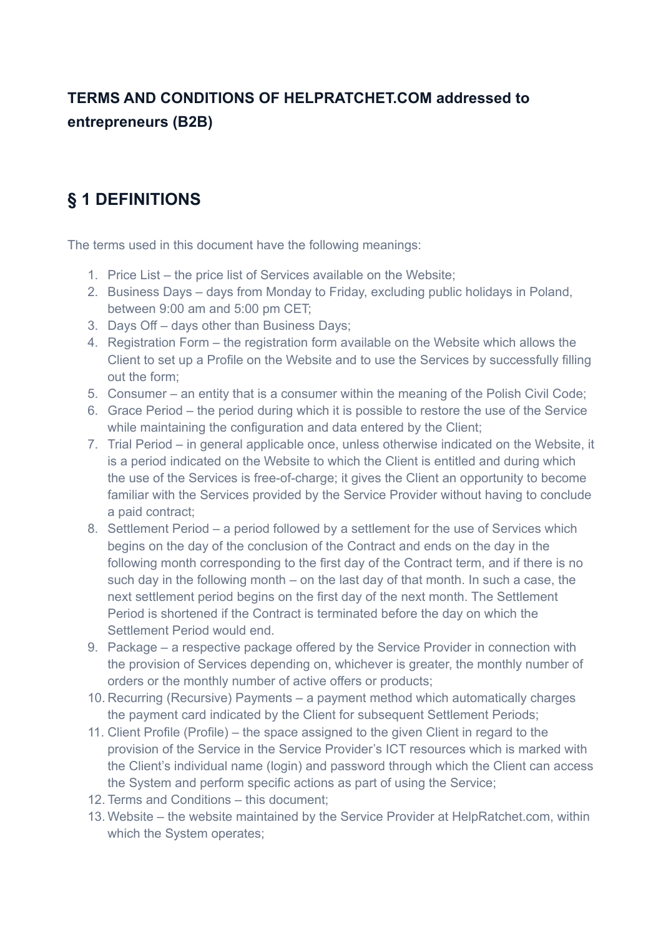#### **TERMS AND CONDITIONS OF HELPRATCHET.COM addressed to entrepreneurs (B2B)**

### **§ 1 DEFINITIONS**

The terms used in this document have the following meanings:

- 1. Price List the price list of Services available on the Website;
- 2. Business Days days from Monday to Friday, excluding public holidays in Poland, between 9:00 am and 5:00 pm CET;
- 3. Days Off days other than Business Days;
- 4. Registration Form the registration form available on the Website which allows the Client to set up a Profile on the Website and to use the Services by successfully filling out the form;
- 5. Consumer an entity that is a consumer within the meaning of the Polish Civil Code;
- 6. Grace Period the period during which it is possible to restore the use of the Service while maintaining the configuration and data entered by the Client;
- 7. Trial Period in general applicable once, unless otherwise indicated on the Website, it is a period indicated on the Website to which the Client is entitled and during which the use of the Services is free-of-charge; it gives the Client an opportunity to become familiar with the Services provided by the Service Provider without having to conclude a paid contract;
- 8. Settlement Period a period followed by a settlement for the use of Services which begins on the day of the conclusion of the Contract and ends on the day in the following month corresponding to the first day of the Contract term, and if there is no such day in the following month – on the last day of that month. In such a case, the next settlement period begins on the first day of the next month. The Settlement Period is shortened if the Contract is terminated before the day on which the Settlement Period would end.
- 9. Package a respective package offered by the Service Provider in connection with the provision of Services depending on, whichever is greater, the monthly number of orders or the monthly number of active offers or products;
- 10. Recurring (Recursive) Payments a payment method which automatically charges the payment card indicated by the Client for subsequent Settlement Periods;
- 11. Client Profile (Profile) the space assigned to the given Client in regard to the provision of the Service in the Service Provider's ICT resources which is marked with the Client's individual name (login) and password through which the Client can access the System and perform specific actions as part of using the Service;
- 12. Terms and Conditions this document;
- 13. Website the website maintained by the Service Provider at HelpRatchet.com, within which the System operates;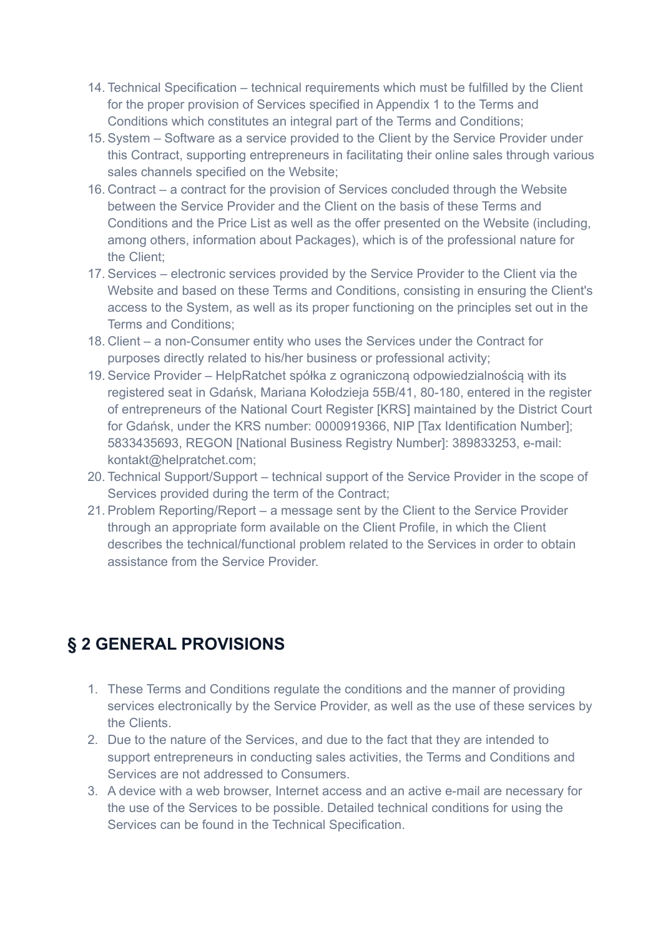- 14. Technical Specification technical requirements which must be fulfilled by the Client for the proper provision of Services specified in Appendix 1 to the Terms and Conditions which constitutes an integral part of the Terms and Conditions;
- 15. System Software as a service provided to the Client by the Service Provider under this Contract, supporting entrepreneurs in facilitating their online sales through various sales channels specified on the Website;
- 16. Contract a contract for the provision of Services concluded through the Website between the Service Provider and the Client on the basis of these Terms and Conditions and the Price List as well as the offer presented on the Website (including, among others, information about Packages), which is of the professional nature for the Client;
- 17. Services electronic services provided by the Service Provider to the Client via the Website and based on these Terms and Conditions, consisting in ensuring the Client's access to the System, as well as its proper functioning on the principles set out in the Terms and Conditions;
- 18. Client a non-Consumer entity who uses the Services under the Contract for purposes directly related to his/her business or professional activity;
- 19. Service Provider HelpRatchet spółka z ograniczoną odpowiedzialnością with its registered seat in Gdańsk, Mariana Kołodzieja 55B/41, 80-180, entered in the register of entrepreneurs of the National Court Register [KRS] maintained by the District Court for Gdańsk, under the KRS number: 0000919366, NIP [Tax Identification Number]; 5833435693, REGON [National Business Registry Number]: 389833253, e-mail: kontakt@helpratchet.com;
- 20. Technical Support/Support technical support of the Service Provider in the scope of Services provided during the term of the Contract;
- 21. Problem Reporting/Report a message sent by the Client to the Service Provider through an appropriate form available on the Client Profile, in which the Client describes the technical/functional problem related to the Services in order to obtain assistance from the Service Provider.

### **§ 2 GENERAL PROVISIONS**

- 1. These Terms and Conditions regulate the conditions and the manner of providing services electronically by the Service Provider, as well as the use of these services by the Clients.
- 2. Due to the nature of the Services, and due to the fact that they are intended to support entrepreneurs in conducting sales activities, the Terms and Conditions and Services are not addressed to Consumers.
- 3. A device with a web browser, Internet access and an active e-mail are necessary for the use of the Services to be possible. Detailed technical conditions for using the Services can be found in the Technical Specification.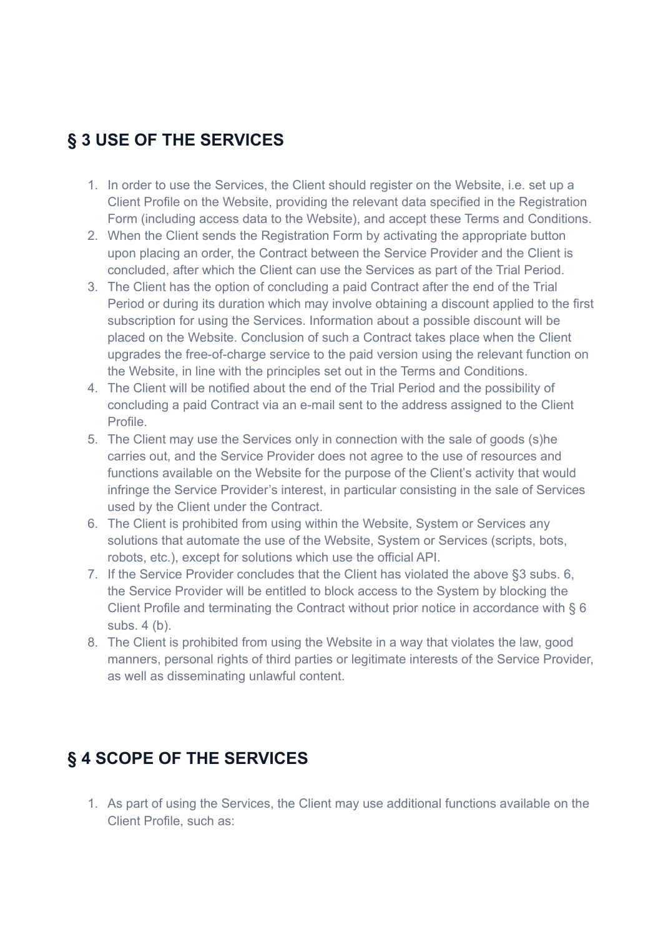#### **§ 3 USE OF THE SERVICES**

- 1. In order to use the Services, the Client should register on the Website, i.e. set up a Client Profile on the Website, providing the relevant data specified in the Registration Form (including access data to the Website), and accept these Terms and Conditions.
- 2. When the Client sends the Registration Form by activating the appropriate button upon placing an order, the Contract between the Service Provider and the Client is concluded, after which the Client can use the Services as part of the Trial Period.
- 3. The Client has the option of concluding a paid Contract after the end of the Trial Period or during its duration which may involve obtaining a discount applied to the first subscription for using the Services. Information about a possible discount will be placed on the Website. Conclusion of such a Contract takes place when the Client upgrades the free-of-charge service to the paid version using the relevant function on the Website, in line with the principles set out in the Terms and Conditions.
- 4. The Client will be notified about the end of the Trial Period and the possibility of concluding a paid Contract via an e-mail sent to the address assigned to the Client Profile.
- 5. The Client may use the Services only in connection with the sale of goods (s)he carries out, and the Service Provider does not agree to the use of resources and functions available on the Website for the purpose of the Client's activity that would infringe the Service Provider's interest, in particular consisting in the sale of Services used by the Client under the Contract.
- 6. The Client is prohibited from using within the Website, System or Services any solutions that automate the use of the Website, System or Services (scripts, bots, robots, etc.), except for solutions which use the official API.
- 7. If the Service Provider concludes that the Client has violated the above §3 subs. 6, the Service Provider will be entitled to block access to the System by blocking the Client Profile and terminating the Contract without prior notice in accordance with § 6 subs. 4 (b).
- 8. The Client is prohibited from using the Website in a way that violates the law, good manners, personal rights of third parties or legitimate interests of the Service Provider, as well as disseminating unlawful content.

## **§ 4 SCOPE OF THE SERVICES**

1. As part of using the Services, the Client may use additional functions available on the Client Profile, such as: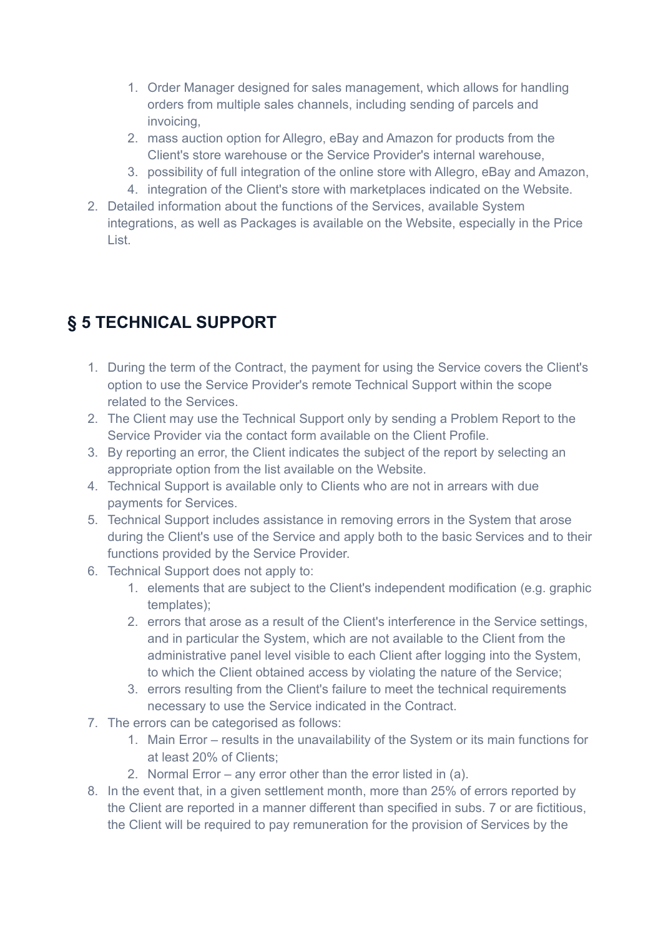- 1. Order Manager designed for sales management, which allows for handling orders from multiple sales channels, including sending of parcels and invoicing,
- 2. mass auction option for Allegro, eBay and Amazon for products from the Client's store warehouse or the Service Provider's internal warehouse,
- 3. possibility of full integration of the online store with Allegro, eBay and Amazon,
- 4. integration of the Client's store with marketplaces indicated on the Website.
- 2. Detailed information about the functions of the Services, available System integrations, as well as Packages is available on the Website, especially in the Price List.

## **§ 5 TECHNICAL SUPPORT**

- 1. During the term of the Contract, the payment for using the Service covers the Client's option to use the Service Provider's remote Technical Support within the scope related to the Services.
- 2. The Client may use the Technical Support only by sending a Problem Report to the Service Provider via the contact form available on the Client Profile.
- 3. By reporting an error, the Client indicates the subject of the report by selecting an appropriate option from the list available on the Website.
- 4. Technical Support is available only to Clients who are not in arrears with due payments for Services.
- 5. Technical Support includes assistance in removing errors in the System that arose during the Client's use of the Service and apply both to the basic Services and to their functions provided by the Service Provider.
- 6. Technical Support does not apply to:
	- 1. elements that are subject to the Client's independent modification (e.g. graphic templates);
	- 2. errors that arose as a result of the Client's interference in the Service settings, and in particular the System, which are not available to the Client from the administrative panel level visible to each Client after logging into the System, to which the Client obtained access by violating the nature of the Service;
	- 3. errors resulting from the Client's failure to meet the technical requirements necessary to use the Service indicated in the Contract.
- 7. The errors can be categorised as follows:
	- 1. Main Error results in the unavailability of the System or its main functions for at least 20% of Clients;
	- 2. Normal Error any error other than the error listed in (a).
- 8. In the event that, in a given settlement month, more than 25% of errors reported by the Client are reported in a manner different than specified in subs. 7 or are fictitious, the Client will be required to pay remuneration for the provision of Services by the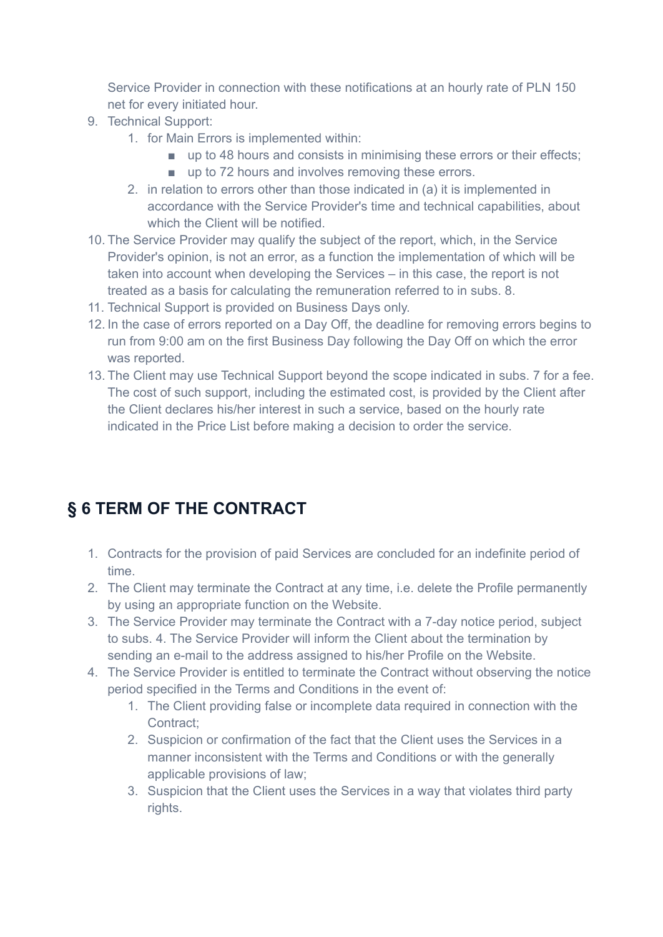Service Provider in connection with these notifications at an hourly rate of PLN 150 net for every initiated hour.

- 9. Technical Support:
	- 1. for Main Errors is implemented within:
		- up to 48 hours and consists in minimising these errors or their effects;
		- up to 72 hours and involves removing these errors.
	- 2. in relation to errors other than those indicated in (a) it is implemented in accordance with the Service Provider's time and technical capabilities, about which the Client will be notified.
- 10. The Service Provider may qualify the subject of the report, which, in the Service Provider's opinion, is not an error, as a function the implementation of which will be taken into account when developing the Services – in this case, the report is not treated as a basis for calculating the remuneration referred to in subs. 8.
- 11. Technical Support is provided on Business Days only.
- 12. In the case of errors reported on a Day Off, the deadline for removing errors begins to run from 9:00 am on the first Business Day following the Day Off on which the error was reported.
- 13. The Client may use Technical Support beyond the scope indicated in subs. 7 for a fee. The cost of such support, including the estimated cost, is provided by the Client after the Client declares his/her interest in such a service, based on the hourly rate indicated in the Price List before making a decision to order the service.

## **§ 6 TERM OF THE CONTRACT**

- 1. Contracts for the provision of paid Services are concluded for an indefinite period of time.
- 2. The Client may terminate the Contract at any time, i.e. delete the Profile permanently by using an appropriate function on the Website.
- 3. The Service Provider may terminate the Contract with a 7-day notice period, subject to subs. 4. The Service Provider will inform the Client about the termination by sending an e-mail to the address assigned to his/her Profile on the Website.
- 4. The Service Provider is entitled to terminate the Contract without observing the notice period specified in the Terms and Conditions in the event of:
	- 1. The Client providing false or incomplete data required in connection with the Contract;
	- 2. Suspicion or confirmation of the fact that the Client uses the Services in a manner inconsistent with the Terms and Conditions or with the generally applicable provisions of law;
	- 3. Suspicion that the Client uses the Services in a way that violates third party rights.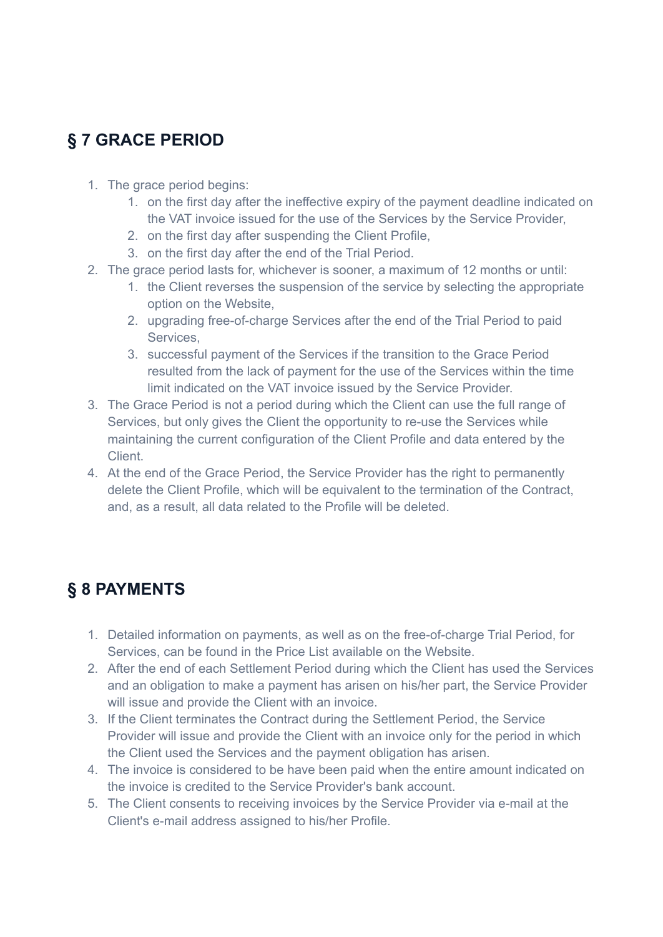## **§ 7 GRACE PERIOD**

- 1. The grace period begins:
	- 1. on the first day after the ineffective expiry of the payment deadline indicated on the VAT invoice issued for the use of the Services by the Service Provider,
	- 2. on the first day after suspending the Client Profile,
	- 3. on the first day after the end of the Trial Period.
- 2. The grace period lasts for, whichever is sooner, a maximum of 12 months or until:
	- 1. the Client reverses the suspension of the service by selecting the appropriate option on the Website,
		- 2. upgrading free-of-charge Services after the end of the Trial Period to paid Services,
		- 3. successful payment of the Services if the transition to the Grace Period resulted from the lack of payment for the use of the Services within the time limit indicated on the VAT invoice issued by the Service Provider.
- 3. The Grace Period is not a period during which the Client can use the full range of Services, but only gives the Client the opportunity to re-use the Services while maintaining the current configuration of the Client Profile and data entered by the Client.
- 4. At the end of the Grace Period, the Service Provider has the right to permanently delete the Client Profile, which will be equivalent to the termination of the Contract, and, as a result, all data related to the Profile will be deleted.

#### **§ 8 PAYMENTS**

- 1. Detailed information on payments, as well as on the free-of-charge Trial Period, for Services, can be found in the Price List available on the Website.
- 2. After the end of each Settlement Period during which the Client has used the Services and an obligation to make a payment has arisen on his/her part, the Service Provider will issue and provide the Client with an invoice.
- 3. If the Client terminates the Contract during the Settlement Period, the Service Provider will issue and provide the Client with an invoice only for the period in which the Client used the Services and the payment obligation has arisen.
- 4. The invoice is considered to be have been paid when the entire amount indicated on the invoice is credited to the Service Provider's bank account.
- 5. The Client consents to receiving invoices by the Service Provider via e-mail at the Client's e-mail address assigned to his/her Profile.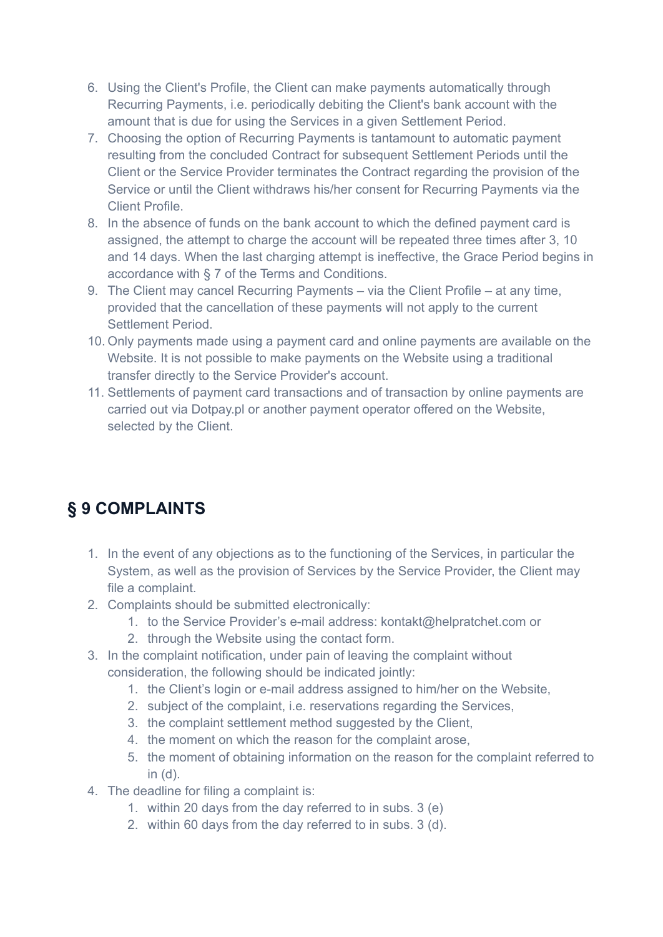- 6. Using the Client's Profile, the Client can make payments automatically through Recurring Payments, i.e. periodically debiting the Client's bank account with the amount that is due for using the Services in a given Settlement Period.
- 7. Choosing the option of Recurring Payments is tantamount to automatic payment resulting from the concluded Contract for subsequent Settlement Periods until the Client or the Service Provider terminates the Contract regarding the provision of the Service or until the Client withdraws his/her consent for Recurring Payments via the Client Profile.
- 8. In the absence of funds on the bank account to which the defined payment card is assigned, the attempt to charge the account will be repeated three times after 3, 10 and 14 days. When the last charging attempt is ineffective, the Grace Period begins in accordance with § 7 of the Terms and Conditions.
- 9. The Client may cancel Recurring Payments via the Client Profile at any time, provided that the cancellation of these payments will not apply to the current Settlement Period.
- 10. Only payments made using a payment card and online payments are available on the Website. It is not possible to make payments on the Website using a traditional transfer directly to the Service Provider's account.
- 11. Settlements of payment card transactions and of transaction by online payments are carried out via Dotpay.pl or another payment operator offered on the Website, selected by the Client.

### **§ 9 COMPLAINTS**

- 1. In the event of any objections as to the functioning of the Services, in particular the System, as well as the provision of Services by the Service Provider, the Client may file a complaint.
- 2. Complaints should be submitted electronically:
	- 1. to the Service Provider's e-mail address: kontakt@helpratchet.com or
	- 2. through the Website using the contact form.
- 3. In the complaint notification, under pain of leaving the complaint without consideration, the following should be indicated jointly:
	- 1. the Client's login or e-mail address assigned to him/her on the Website,
	- 2. subject of the complaint, i.e. reservations regarding the Services,
	- 3. the complaint settlement method suggested by the Client,
	- 4. the moment on which the reason for the complaint arose,
	- 5. the moment of obtaining information on the reason for the complaint referred to in (d).
- 4. The deadline for filing a complaint is:
	- 1. within 20 days from the day referred to in subs. 3 (e)
	- 2. within 60 days from the day referred to in subs. 3 (d).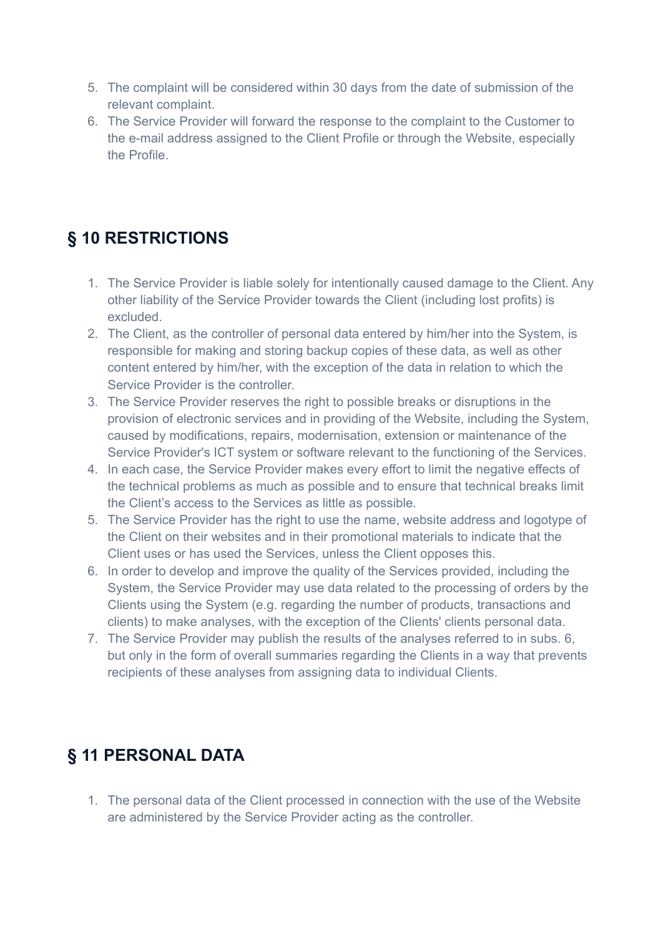- 5. The complaint will be considered within 30 days from the date of submission of the relevant complaint.
- 6. The Service Provider will forward the response to the complaint to the Customer to the e-mail address assigned to the Client Profile or through the Website, especially the Profile.

### **§ 10 RESTRICTIONS**

- 1. The Service Provider is liable solely for intentionally caused damage to the Client. Any other liability of the Service Provider towards the Client (including lost profits) is excluded.
- 2. The Client, as the controller of personal data entered by him/her into the System, is responsible for making and storing backup copies of these data, as well as other content entered by him/her, with the exception of the data in relation to which the Service Provider is the controller.
- 3. The Service Provider reserves the right to possible breaks or disruptions in the provision of electronic services and in providing of the Website, including the System, caused by modifications, repairs, modernisation, extension or maintenance of the Service Provider's ICT system or software relevant to the functioning of the Services.
- 4. In each case, the Service Provider makes every effort to limit the negative effects of the technical problems as much as possible and to ensure that technical breaks limit the Client's access to the Services as little as possible.
- 5. The Service Provider has the right to use the name, website address and logotype of the Client on their websites and in their promotional materials to indicate that the Client uses or has used the Services, unless the Client opposes this.
- 6. In order to develop and improve the quality of the Services provided, including the System, the Service Provider may use data related to the processing of orders by the Clients using the System (e.g. regarding the number of products, transactions and clients) to make analyses, with the exception of the Clients' clients personal data.
- 7. The Service Provider may publish the results of the analyses referred to in subs. 6, but only in the form of overall summaries regarding the Clients in a way that prevents recipients of these analyses from assigning data to individual Clients.

### **§ 11 PERSONAL DATA**

1. The personal data of the Client processed in connection with the use of the Website are administered by the Service Provider acting as the controller.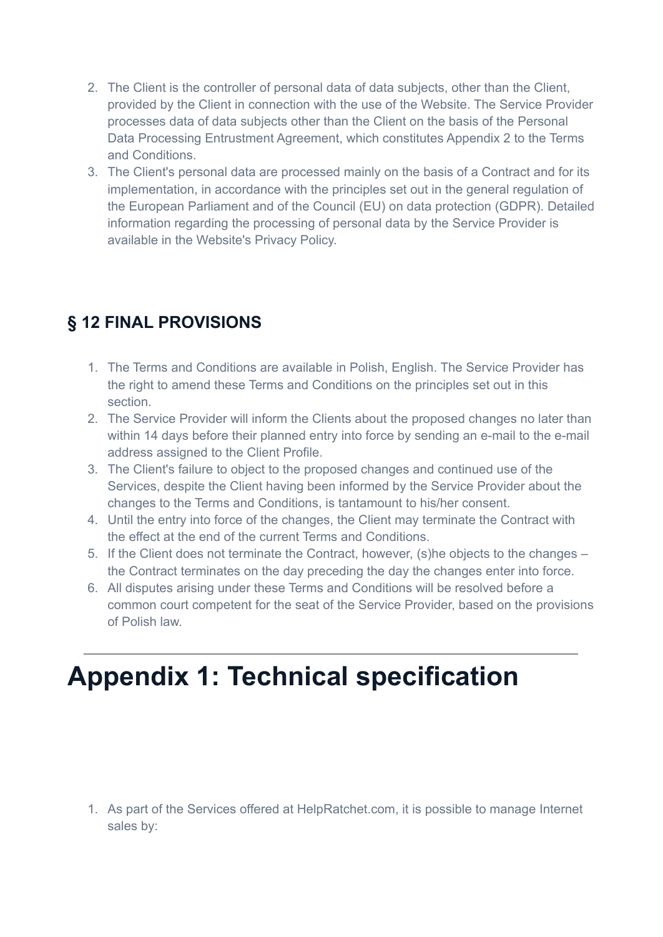- 2. The Client is the controller of personal data of data subjects, other than the Client, provided by the Client in connection with the use of the Website. The Service Provider processes data of data subjects other than the Client on the basis of the Personal Data Processing Entrustment Agreement, which constitutes Appendix 2 to the Terms and Conditions.
- 3. The Client's personal data are processed mainly on the basis of a Contract and for its implementation, in accordance with the principles set out in the general regulation of the European Parliament and of the Council (EU) on data protection (GDPR). Detailed information regarding the processing of personal data by the Service Provider is available in the Website's Privacy Policy.

## **§ 12 FINAL PROVISIONS**

- 1. The Terms and Conditions are available in Polish, English. The Service Provider has the right to amend these Terms and Conditions on the principles set out in this section.
- 2. The Service Provider will inform the Clients about the proposed changes no later than within 14 days before their planned entry into force by sending an e-mail to the e-mail address assigned to the Client Profile.
- 3. The Client's failure to object to the proposed changes and continued use of the Services, despite the Client having been informed by the Service Provider about the changes to the Terms and Conditions, is tantamount to his/her consent.
- 4. Until the entry into force of the changes, the Client may terminate the Contract with the effect at the end of the current Terms and Conditions.
- 5. If the Client does not terminate the Contract, however, (s)he objects to the changes the Contract terminates on the day preceding the day the changes enter into force.
- 6. All disputes arising under these Terms and Conditions will be resolved before a common court competent for the seat of the Service Provider, based on the provisions of Polish law.

# **Appendix 1: Technical specification**

1. As part of the Services offered at HelpRatchet.com, it is possible to manage Internet sales by: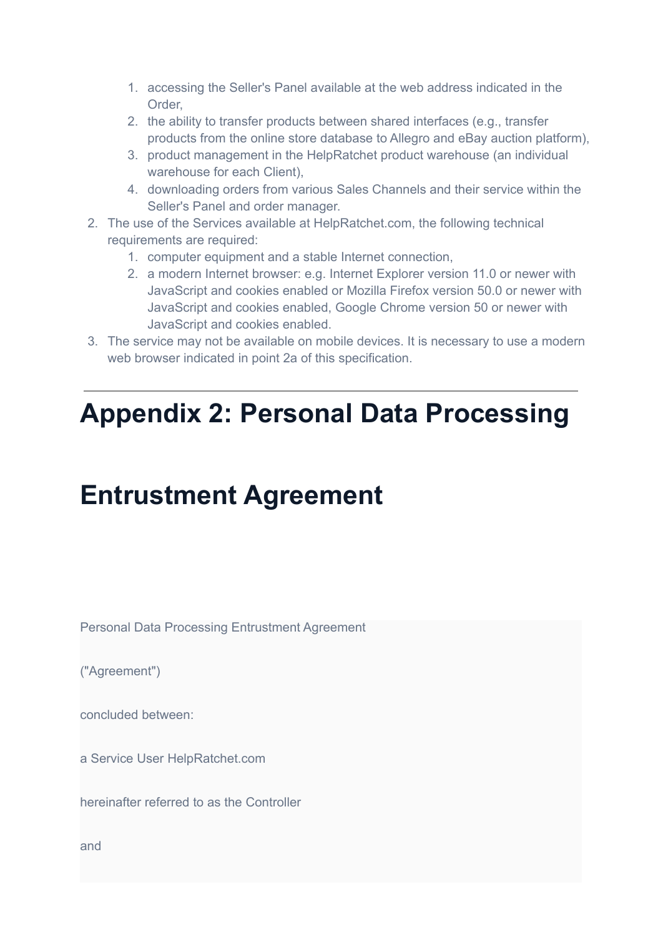- 1. accessing the Seller's Panel available at the web address indicated in the Order,
- 2. the ability to transfer products between shared interfaces (e.g., transfer products from the online store database to Allegro and eBay auction platform),
- 3. product management in the HelpRatchet product warehouse (an individual warehouse for each Client).
- 4. downloading orders from various Sales Channels and their service within the Seller's Panel and order manager.
- 2. The use of the Services available at HelpRatchet.com, the following technical requirements are required:
	- 1. computer equipment and a stable Internet connection,
	- 2. a modern Internet browser: e.g. Internet Explorer version 11.0 or newer with JavaScript and cookies enabled or Mozilla Firefox version 50.0 or newer with JavaScript and cookies enabled, Google Chrome version 50 or newer with JavaScript and cookies enabled.
- 3. The service may not be available on mobile devices. It is necessary to use a modern web browser indicated in point 2a of this specification.

## **Appendix 2: Personal Data Processing**

## **Entrustment Agreement**

Personal Data Processing Entrustment Agreement

("Agreement")

concluded between:

a Service User HelpRatchet.com

hereinafter referred to as the Controller

and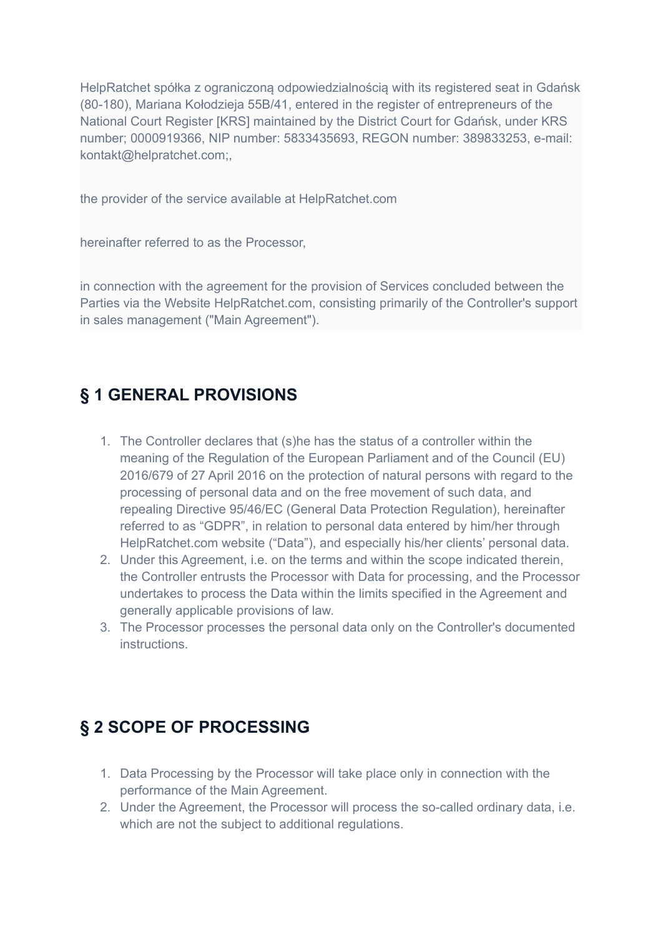HelpRatchet spółka z ograniczoną odpowiedzialnością with its registered seat in Gdańsk (80-180), Mariana Kołodzieja 55B/41, entered in the register of entrepreneurs of the National Court Register [KRS] maintained by the District Court for Gdańsk, under KRS number; 0000919366, NIP number: 5833435693, REGON number: 389833253, e-mail: kontakt@helpratchet.com;,

the provider of the service available at HelpRatchet.com

hereinafter referred to as the Processor,

in connection with the agreement for the provision of Services concluded between the Parties via the Website HelpRatchet.com, consisting primarily of the Controller's support in sales management ("Main Agreement").

#### **§ 1 GENERAL PROVISIONS**

- 1. The Controller declares that (s)he has the status of a controller within the meaning of the Regulation of the European Parliament and of the Council (EU) 2016/679 of 27 April 2016 on the protection of natural persons with regard to the processing of personal data and on the free movement of such data, and repealing Directive 95/46/EC (General Data Protection Regulation), hereinafter referred to as "GDPR", in relation to personal data entered by him/her through HelpRatchet.com website ("Data"), and especially his/her clients' personal data.
- 2. Under this Agreement, i.e. on the terms and within the scope indicated therein, the Controller entrusts the Processor with Data for processing, and the Processor undertakes to process the Data within the limits specified in the Agreement and generally applicable provisions of law.
- 3. The Processor processes the personal data only on the Controller's documented instructions.

#### **§ 2 SCOPE OF PROCESSING**

- 1. Data Processing by the Processor will take place only in connection with the performance of the Main Agreement.
- 2. Under the Agreement, the Processor will process the so-called ordinary data, i.e. which are not the subject to additional regulations.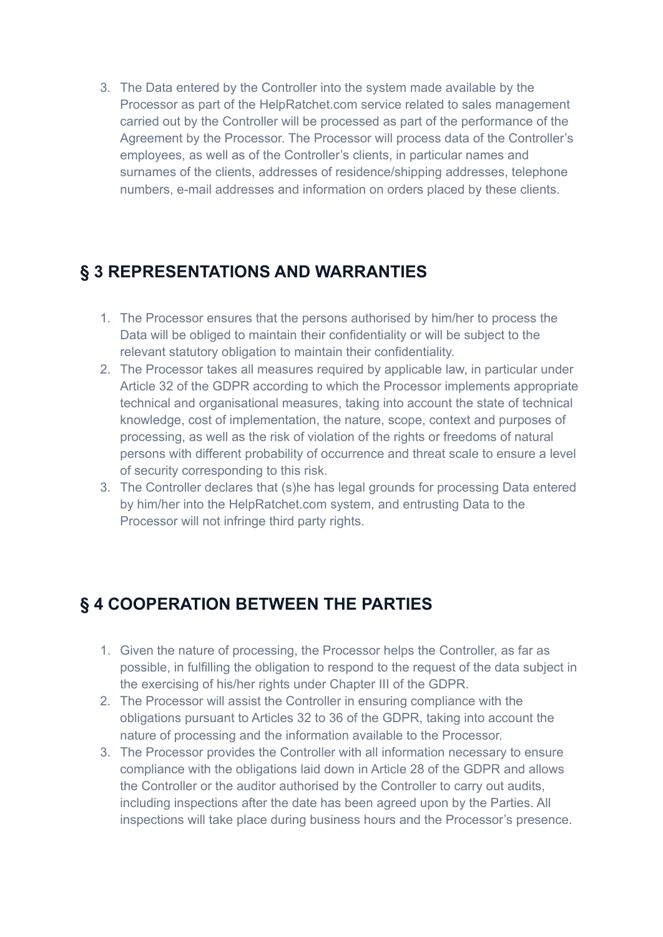3. The Data entered by the Controller into the system made available by the Processor as part of the HelpRatchet.com service related to sales management carried out by the Controller will be processed as part of the performance of the Agreement by the Processor. The Processor will process data of the Controller's employees, as well as of the Controller's clients, in particular names and surnames of the clients, addresses of residence/shipping addresses, telephone numbers, e-mail addresses and information on orders placed by these clients.

#### **§ 3 REPRESENTATIONS AND WARRANTIES**

- 1. The Processor ensures that the persons authorised by him/her to process the Data will be obliged to maintain their confidentiality or will be subject to the relevant statutory obligation to maintain their confidentiality.
- 2. The Processor takes all measures required by applicable law, in particular under Article 32 of the GDPR according to which the Processor implements appropriate technical and organisational measures, taking into account the state of technical knowledge, cost of implementation, the nature, scope, context and purposes of processing, as well as the risk of violation of the rights or freedoms of natural persons with different probability of occurrence and threat scale to ensure a level of security corresponding to this risk.
- 3. The Controller declares that (s)he has legal grounds for processing Data entered by him/her into the HelpRatchet.com system, and entrusting Data to the Processor will not infringe third party rights.

### **§ 4 COOPERATION BETWEEN THE PARTIES**

- 1. Given the nature of processing, the Processor helps the Controller, as far as possible, in fulfilling the obligation to respond to the request of the data subject in the exercising of his/her rights under Chapter III of the GDPR.
- 2. The Processor will assist the Controller in ensuring compliance with the obligations pursuant to Articles 32 to 36 of the GDPR, taking into account the nature of processing and the information available to the Processor.
- 3. The Processor provides the Controller with all information necessary to ensure compliance with the obligations laid down in Article 28 of the GDPR and allows the Controller or the auditor authorised by the Controller to carry out audits, including inspections after the date has been agreed upon by the Parties. All inspections will take place during business hours and the Processor's presence.